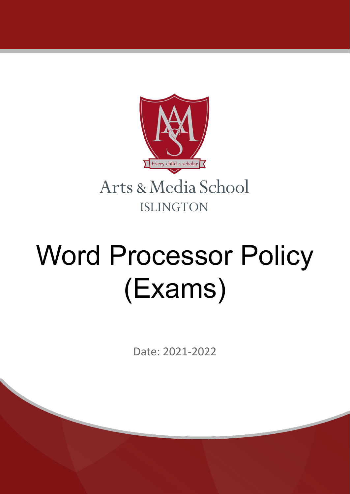

# Word Processor Policy (Exams)

Date: 2021-2022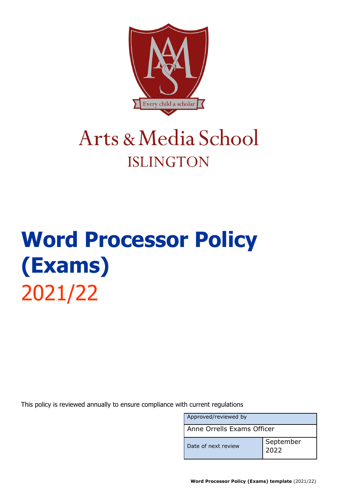

### Arts & Media School **ISLINGTON**

## **Word Processor Policy (Exams)** 2021/22

This policy is reviewed annually to ensure compliance with current regulations

| Approved/reviewed by       |                   |  |
|----------------------------|-------------------|--|
| Anne Orrells Exams Officer |                   |  |
| Date of next review        | September<br>2022 |  |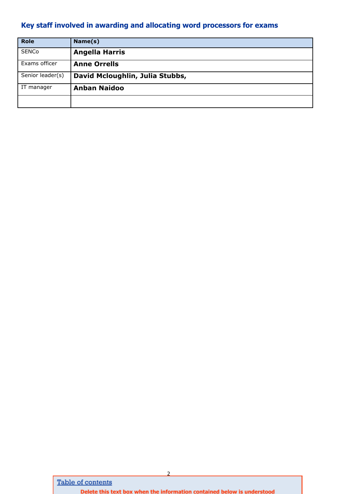#### <span id="page-2-0"></span>**Key staff involved in awarding and allocating word processors for exams**

| <b>Role</b>      | Name(s)                         |
|------------------|---------------------------------|
| <b>SENCo</b>     | <b>Angella Harris</b>           |
| Exams officer    | <b>Anne Orrells</b>             |
| Senior leader(s) | David Mcloughlin, Julia Stubbs, |
| IT manager       | <b>Anban Naidoo</b>             |
|                  |                                 |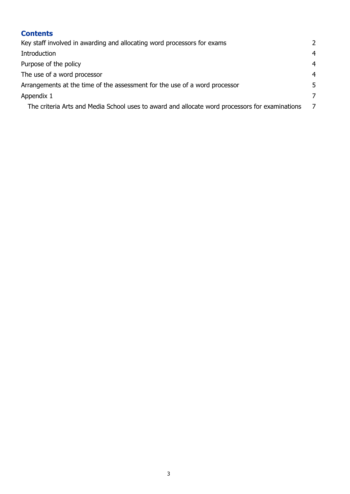| <b>Contents</b>                                                                                |                |
|------------------------------------------------------------------------------------------------|----------------|
| Key staff involved in awarding and allocating word processors for exams                        | $\overline{2}$ |
| Introduction                                                                                   | $\overline{4}$ |
| Purpose of the policy                                                                          | $\overline{4}$ |
| The use of a word processor                                                                    | $\overline{4}$ |
| Arrangements at the time of the assessment for the use of a word processor                     | 5              |
| Appendix 1                                                                                     | 7              |
| The criteria Arts and Media School uses to award and allocate word processors for examinations | - 7            |
|                                                                                                |                |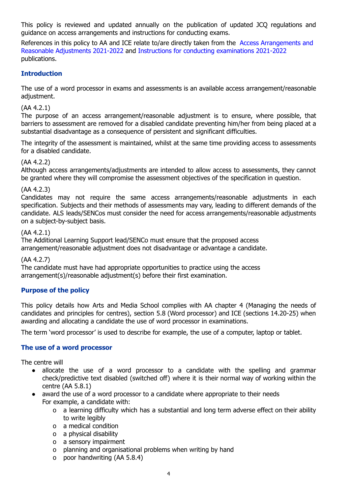This policy is reviewed and updated annually on the publication of updated JCQ regulations and guidance on access arrangements and instructions for conducting exams.

References in this policy to AA and ICE relate to/are directly taken from the Access [Arrangements](http://www.jcq.org.uk/exams-office/access-arrangements-and-special-consideration/regulations-and-guidance) and Reasonable [Adjustments](http://www.jcq.org.uk/exams-office/access-arrangements-and-special-consideration/regulations-and-guidance) 2021-2022 and Instructions for conducting [examinations](http://www.jcq.org.uk/exams-office/ice---instructions-for-conducting-examinations) 2021-2022 publications.

#### <span id="page-4-0"></span>**Introduction**

The use of a word processor in exams and assessments is an available access arrangement/reasonable adjustment.

#### (AA 4.2.1)

The purpose of an access arrangement/reasonable adjustment is to ensure, where possible, that barriers to assessment are removed for a disabled candidate preventing him/her from being placed at a substantial disadvantage as a consequence of persistent and significant difficulties.

The integrity of the assessment is maintained, whilst at the same time providing access to assessments for a disabled candidate.

#### (AA 4.2.2)

Although access arrangements/adjustments are intended to allow access to assessments, they cannot be granted where they will compromise the assessment objectives of the specification in question.

#### (AA 4.2.3)

Candidates may not require the same access arrangements/reasonable adjustments in each specification. Subjects and their methods of assessments may vary, leading to different demands of the candidate. ALS leads/SENCos must consider the need for access arrangements/reasonable adjustments on a subject-by-subject basis.

#### (AA 4.2.1)

The Additional Learning Support lead/SENCo must ensure that the proposed access arrangement/reasonable adjustment does not disadvantage or advantage a candidate.

#### (AA 4.2.7)

The candidate must have had appropriate opportunities to practice using the access arrangement(s)/reasonable adjustment(s) before their first examination.

#### <span id="page-4-1"></span>**Purpose of the policy**

This policy details how Arts and Media School complies with AA chapter 4 (Managing the needs of candidates and principles for centres), section 5.8 (Word processor) and ICE (sections 14.20-25) when awarding and allocating a candidate the use of word processor in examinations.

The term 'word processor' is used to describe for example, the use of a computer, laptop or tablet.

#### <span id="page-4-2"></span>**The use of a word processor**

The centre will

- allocate the use of a word processor to a candidate with the spelling and grammar check/predictive text disabled (switched off) where it is their normal way of working within the centre (AA 5.8.1)
- award the use of a word processor to a candidate where appropriate to their needs For example, a candidate with:
	- o a learning difficulty which has a substantial and long term adverse effect on their ability to write legibly
	- o a medical condition
	- o a physical disability
	- o a sensory impairment
	- o planning and organisational problems when writing by hand
	- o poor handwriting (AA 5.8.4)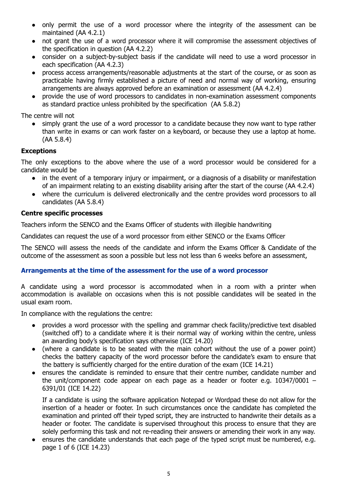- only permit the use of a word processor where the integrity of the assessment can be maintained (AA 4.2.1)
- not grant the use of a word processor where it will compromise the assessment objectives of the specification in question (AA 4.2.2)
- consider on a subject-by-subject basis if the candidate will need to use a word processor in each specification (AA 4.2.3)
- process access arrangements/reasonable adjustments at the start of the course, or as soon as practicable having firmly established a picture of need and normal way of working, ensuring arrangements are always approved before an examination or assessment (AA 4.2.4)
- provide the use of word processors to candidates in non-examination assessment components as standard practice unless prohibited by the specification (AA 5.8.2)

The centre will not

simply grant the use of a word processor to a candidate because they now want to type rather than write in exams or can work faster on a keyboard, or because they use a laptop at home. (AA 5.8.4)

#### **Exceptions**

The only exceptions to the above where the use of a word processor would be considered for a candidate would be

- in the event of a temporary injury or impairment, or a diagnosis of a disability or manifestation of an impairment relating to an existing disability arising after the start of the course (AA 4.2.4)
- where the curriculum is delivered electronically and the centre provides word processors to all candidates (AA 5.8.4)

#### **Centre specific processes**

Teachers inform the SENCO and the Exams Officer of students with illegible handwriting

Candidates can request the use of a word processor from either SENCO or the Exams Officer

The SENCO will assess the needs of the candidate and inform the Exams Officer & Candidate of the outcome of the assessment as soon a possible but less not less than 6 weeks before an assessment,

#### <span id="page-5-0"></span>**Arrangements at the time of the assessment for the use of a word processor**

A candidate using a word processor is accommodated when in a room with a printer when accommodation is available on occasions when this is not possible candidates will be seated in the usual exam room.

In compliance with the regulations the centre:

- provides a word processor with the spelling and grammar check facility/predictive text disabled (switched off) to a candidate where it is their normal way of working within the centre, unless an awarding body's specification says otherwise (ICE 14.20)
- (where a candidate is to be seated with the main cohort without the use of a power point) checks the battery capacity of the word processor before the candidate's exam to ensure that the battery is sufficiently charged for the entire duration of the exam (ICE 14.21)
- ensures the candidate is reminded to ensure that their centre number, candidate number and the unit/component code appear on each page as a header or footer e.g. 10347/0001 – 6391/01 (ICE 14.22)

If a candidate is using the software application Notepad or Wordpad these do not allow for the insertion of a header or footer. In such circumstances once the candidate has completed the examination and printed off their typed script, they are instructed to handwrite their details as a header or footer. The candidate is supervised throughout this process to ensure that they are solely performing this task and not re-reading their answers or amending their work in any way.

ensures the candidate understands that each page of the typed script must be numbered, e.g. page 1 of 6 (ICE 14.23)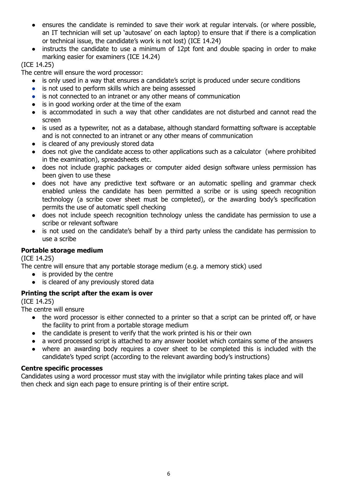- ensures the candidate is reminded to save their work at regular intervals. (or where possible, an IT technician will set up 'autosave' on each laptop) to ensure that if there is a complication or technical issue, the candidate's work is not lost) (ICE 14.24)
- instructs the candidate to use a minimum of 12pt font and double spacing in order to make marking easier for examiners (ICE 14.24)

#### (ICE 14.25)

The centre will ensure the word processor:

- is only used in a way that ensures a candidate's script is produced under secure conditions
- is not used to perform skills which are being assessed
- is not connected to an intranet or any other means of communication
- is in good working order at the time of the exam
- is accommodated in such a way that other candidates are not disturbed and cannot read the screen
- is used as a typewriter, not as a database, although standard formatting software is acceptable and is not connected to an intranet or any other means of communication
- is cleared of any previously stored data
- does not give the candidate access to other applications such as a calculator (where prohibited in the examination), spreadsheets etc.
- does not include graphic packages or computer aided design software unless permission has been given to use these
- does not have any predictive text software or an automatic spelling and grammar check enabled unless the candidate has been permitted a scribe or is using speech recognition technology (a scribe cover sheet must be completed), or the awarding body's specification permits the use of automatic spell checking
- does not include speech recognition technology unless the candidate has permission to use a scribe or relevant software
- is not used on the candidate's behalf by a third party unless the candidate has permission to use a scribe

#### **Portable storage medium**

(ICE 14.25)

The centre will ensure that any portable storage medium (e.g. a memory stick) used

- is provided by the centre
- is cleared of any previously stored data

#### **Printing the script after the exam is over**

(ICE 14.25)

The centre will ensure

- the word processor is either connected to a printer so that a script can be printed off, or have the facility to print from a portable storage medium
- the candidate is present to verify that the work printed is his or their own
- a word processed script is attached to any answer booklet which contains some of the answers
- where an awarding body requires a cover sheet to be completed this is included with the candidate's typed script (according to the relevant awarding body's instructions)

#### **Centre specific processes**

Candidates using a word processor must stay with the invigilator while printing takes place and will then check and sign each page to ensure printing is of their entire script.